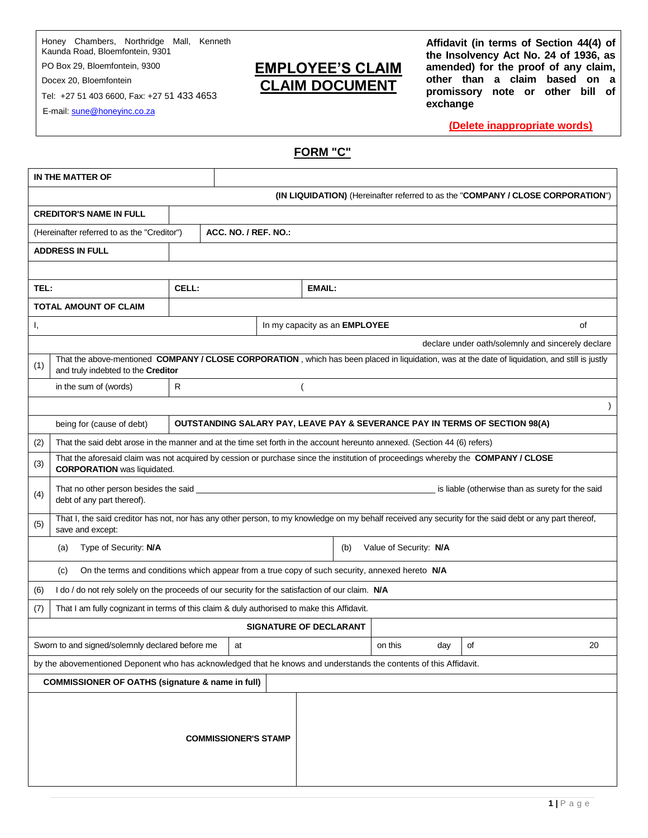Honey Chambers, Northridge Mall, Kenneth Kaunda Road, Bloemfontein, 9301

PO Box 29, Bloemfontein, 9300 Docex 20, Bloemfontein

Tel: +27 51 403 6600, Fax: +27 51 433 4653

E-mail: sune@honeyinc.co.za

## **EMPLOYEE'S CLAIM CLAIM DOCUMENT**

**Affidavit (in terms of Section 44(4) of the Insolvency Act No. 24 of 1936, as amended) for the proof of any claim, other than a claim based on a promissory note or other bill of exchange**

**(Delete inappropriate words)**

**FORM "C"**

| (IN LIQUIDATION) (Hereinafter referred to as the "COMPANY / CLOSE CORPORATION")                                                                                                              |                                                                                                                                                                         |              |                      |                                      |  |         |     |    |  |    |  |
|----------------------------------------------------------------------------------------------------------------------------------------------------------------------------------------------|-------------------------------------------------------------------------------------------------------------------------------------------------------------------------|--------------|----------------------|--------------------------------------|--|---------|-----|----|--|----|--|
| <b>CREDITOR'S NAME IN FULL</b>                                                                                                                                                               |                                                                                                                                                                         |              |                      |                                      |  |         |     |    |  |    |  |
| (Hereinafter referred to as the "Creditor")                                                                                                                                                  |                                                                                                                                                                         |              | ACC. NO. / REF. NO.: |                                      |  |         |     |    |  |    |  |
| <b>ADDRESS IN FULL</b>                                                                                                                                                                       |                                                                                                                                                                         |              |                      |                                      |  |         |     |    |  |    |  |
|                                                                                                                                                                                              |                                                                                                                                                                         |              |                      |                                      |  |         |     |    |  |    |  |
| TEL:                                                                                                                                                                                         |                                                                                                                                                                         | CELL:        |                      | <b>EMAIL:</b>                        |  |         |     |    |  |    |  |
| <b>TOTAL AMOUNT OF CLAIM</b>                                                                                                                                                                 |                                                                                                                                                                         |              |                      |                                      |  |         |     |    |  |    |  |
| I,                                                                                                                                                                                           |                                                                                                                                                                         |              |                      | In my capacity as an <b>EMPLOYEE</b> |  |         |     |    |  | οf |  |
|                                                                                                                                                                                              | declare under oath/solemnly and sincerely declare                                                                                                                       |              |                      |                                      |  |         |     |    |  |    |  |
| That the above-mentioned COMPANY / CLOSE CORPORATION, which has been placed in liquidation, was at the date of liquidation, and still is justly<br>(1)<br>and truly indebted to the Creditor |                                                                                                                                                                         |              |                      |                                      |  |         |     |    |  |    |  |
|                                                                                                                                                                                              | in the sum of (words)                                                                                                                                                   | $\mathsf{R}$ |                      |                                      |  |         |     |    |  |    |  |
|                                                                                                                                                                                              |                                                                                                                                                                         |              |                      |                                      |  |         |     |    |  |    |  |
|                                                                                                                                                                                              | being for (cause of debt)<br>OUTSTANDING SALARY PAY, LEAVE PAY & SEVERANCE PAY IN TERMS OF SECTION 98(A)                                                                |              |                      |                                      |  |         |     |    |  |    |  |
| (2)                                                                                                                                                                                          | That the said debt arose in the manner and at the time set forth in the account hereunto annexed. (Section 44 (6) refers)                                               |              |                      |                                      |  |         |     |    |  |    |  |
| (3)                                                                                                                                                                                          | That the aforesaid claim was not acquired by cession or purchase since the institution of proceedings whereby the COMPANY / CLOSE<br><b>CORPORATION</b> was liquidated. |              |                      |                                      |  |         |     |    |  |    |  |
| (4)                                                                                                                                                                                          | That no other person besides the said<br>is liable (otherwise than as surety for the said<br>debt of any part thereof).                                                 |              |                      |                                      |  |         |     |    |  |    |  |
| That I, the said creditor has not, nor has any other person, to my knowledge on my behalf received any security for the said debt or any part thereof,<br>(5)<br>save and except:            |                                                                                                                                                                         |              |                      |                                      |  |         |     |    |  |    |  |
|                                                                                                                                                                                              | Type of Security: N/A<br>Value of Security: N/A<br>(b)<br>(a)                                                                                                           |              |                      |                                      |  |         |     |    |  |    |  |
| On the terms and conditions which appear from a true copy of such security, annexed hereto N/A<br>(c)                                                                                        |                                                                                                                                                                         |              |                      |                                      |  |         |     |    |  |    |  |
| (6)                                                                                                                                                                                          | I do / do not rely solely on the proceeds of our security for the satisfaction of our claim. N/A                                                                        |              |                      |                                      |  |         |     |    |  |    |  |
| (7)                                                                                                                                                                                          | That I am fully cognizant in terms of this claim & duly authorised to make this Affidavit.                                                                              |              |                      |                                      |  |         |     |    |  |    |  |
|                                                                                                                                                                                              |                                                                                                                                                                         |              |                      | <b>SIGNATURE OF DECLARANT</b>        |  |         |     |    |  |    |  |
| Sworn to and signed/solemnly declared before me                                                                                                                                              |                                                                                                                                                                         |              |                      |                                      |  | on this | day | of |  | 20 |  |
| by the abovementioned Deponent who has acknowledged that he knows and understands the contents of this Affidavit.                                                                            |                                                                                                                                                                         |              |                      |                                      |  |         |     |    |  |    |  |
| <b>COMMISSIONER OF OATHS (signature &amp; name in full)</b>                                                                                                                                  |                                                                                                                                                                         |              |                      |                                      |  |         |     |    |  |    |  |
|                                                                                                                                                                                              | <b>COMMISSIONER'S STAMP</b>                                                                                                                                             |              |                      |                                      |  |         |     |    |  |    |  |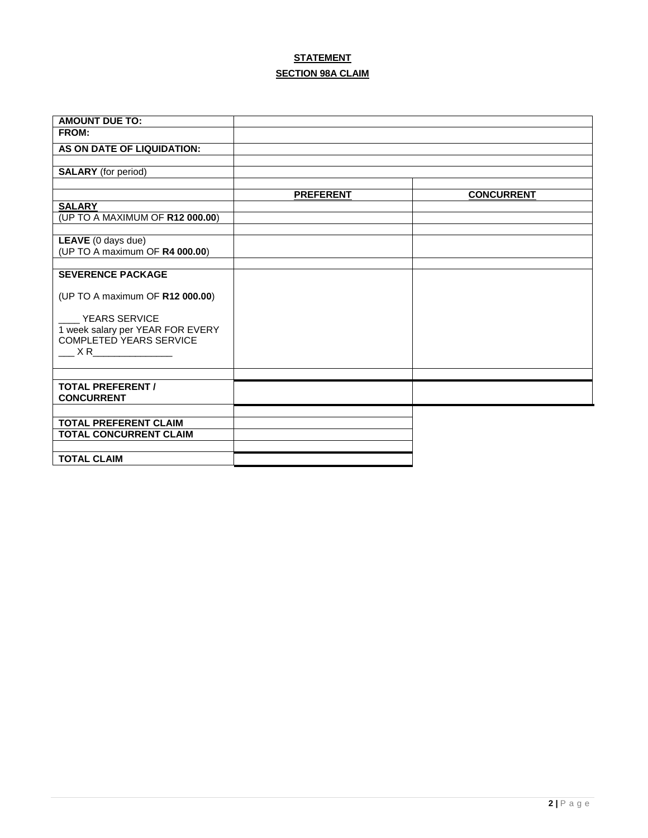## **STATEMENT SECTION 98A CLAIM**

| <b>AMOUNT DUE TO:</b>                                    |                  |                   |
|----------------------------------------------------------|------------------|-------------------|
| FROM:                                                    |                  |                   |
| AS ON DATE OF LIQUIDATION:                               |                  |                   |
|                                                          |                  |                   |
| <b>SALARY</b> (for period)                               |                  |                   |
|                                                          | <b>PREFERENT</b> | <b>CONCURRENT</b> |
| <b>SALARY</b>                                            |                  |                   |
| (UP TO A MAXIMUM OF R12 000.00)                          |                  |                   |
|                                                          |                  |                   |
| LEAVE (0 days due)                                       |                  |                   |
| (UP TO A maximum OF R4 000.00)                           |                  |                   |
| <b>SEVERENCE PACKAGE</b>                                 |                  |                   |
|                                                          |                  |                   |
| (UP TO A maximum OF R12 000.00)                          |                  |                   |
|                                                          |                  |                   |
| <b>YEARS SERVICE</b><br>1 week salary per YEAR FOR EVERY |                  |                   |
| <b>COMPLETED YEARS SERVICE</b>                           |                  |                   |
| $X \, R$                                                 |                  |                   |
|                                                          |                  |                   |
|                                                          |                  |                   |
| <b>TOTAL PREFERENT /</b>                                 |                  |                   |
| <b>CONCURRENT</b>                                        |                  |                   |
|                                                          |                  |                   |
| <b>TOTAL PREFERENT CLAIM</b>                             |                  |                   |
| <b>TOTAL CONCURRENT CLAIM</b>                            |                  |                   |
|                                                          |                  |                   |
| <b>TOTAL CLAIM</b>                                       |                  |                   |